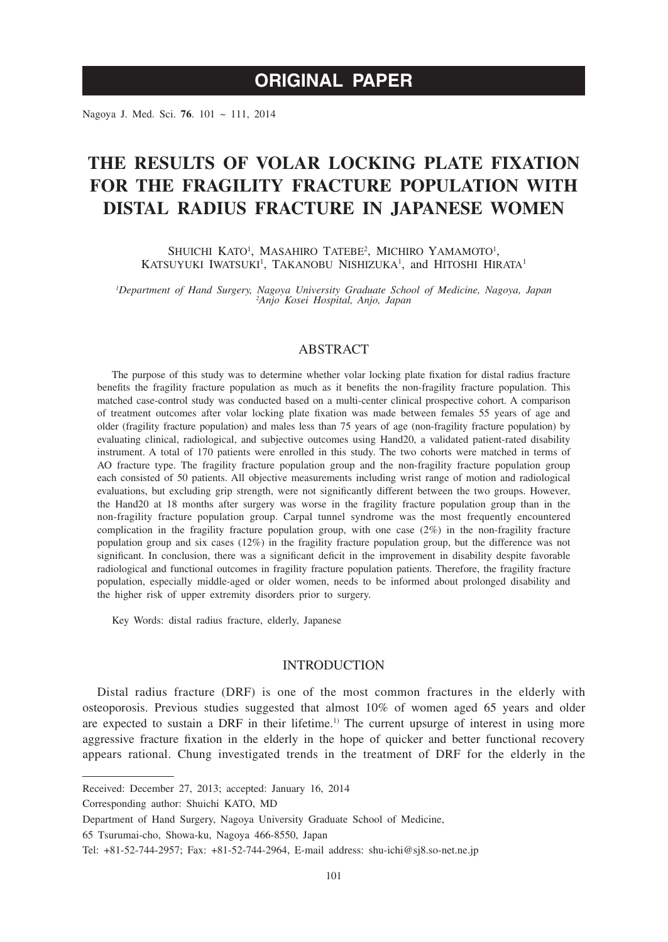# **ORIGINAL PAPER**

Nagoya J. Med. Sci. **76**. 101 ~ 111, 2014

# **THE RESULTS OF VOLAR LOCKING PLATE FIXATION FOR THE FRAGILITY FRACTURE POPULATION WITH DISTAL RADIUS FRACTURE IN JAPANESE WOMEN**

SHUICHI KATO<sup>1</sup>, MASAHIRO TATEBE<sup>2</sup>, MICHIRO YAMAMOTO<sup>1</sup>, KATSUYUKI IWATSUKI<sup>1</sup>, TAKANOBU NISHIZUKA<sup>1</sup>, and HITOSHI HIRATA<sup>1</sup>

*1 Department of Hand Surgery, Nagoya University Graduate School of Medicine, Nagoya, Japan <sup>2</sup> Anjo Kosei Hospital, Anjo, Japan*

# ABSTRACT

The purpose of this study was to determine whether volar locking plate fixation for distal radius fracture benefits the fragility fracture population as much as it benefits the non-fragility fracture population. This matched case-control study was conducted based on a multi-center clinical prospective cohort. A comparison of treatment outcomes after volar locking plate fixation was made between females 55 years of age and older (fragility fracture population) and males less than 75 years of age (non-fragility fracture population) by evaluating clinical, radiological, and subjective outcomes using Hand20, a validated patient-rated disability instrument. A total of 170 patients were enrolled in this study. The two cohorts were matched in terms of AO fracture type. The fragility fracture population group and the non-fragility fracture population group each consisted of 50 patients. All objective measurements including wrist range of motion and radiological evaluations, but excluding grip strength, were not significantly different between the two groups. However, the Hand20 at 18 months after surgery was worse in the fragility fracture population group than in the non-fragility fracture population group. Carpal tunnel syndrome was the most frequently encountered complication in the fragility fracture population group, with one case (2%) in the non-fragility fracture population group and six cases (12%) in the fragility fracture population group, but the difference was not significant. In conclusion, there was a significant deficit in the improvement in disability despite favorable radiological and functional outcomes in fragility fracture population patients. Therefore, the fragility fracture population, especially middle-aged or older women, needs to be informed about prolonged disability and the higher risk of upper extremity disorders prior to surgery.

Key Words: distal radius fracture, elderly, Japanese

# **INTRODUCTION**

Distal radius fracture (DRF) is one of the most common fractures in the elderly with osteoporosis. Previous studies suggested that almost 10% of women aged 65 years and older are expected to sustain a DRF in their lifetime.<sup>1)</sup> The current upsurge of interest in using more aggressive fracture fixation in the elderly in the hope of quicker and better functional recovery appears rational. Chung investigated trends in the treatment of DRF for the elderly in the

Received: December 27, 2013; accepted: January 16, 2014

Corresponding author: Shuichi KATO, MD

Department of Hand Surgery, Nagoya University Graduate School of Medicine,

<sup>65</sup> Tsurumai-cho, Showa-ku, Nagoya 466-8550, Japan

Tel: +81-52-744-2957; Fax: +81-52-744-2964, E-mail address: shu-ichi@sj8.so-net.ne.jp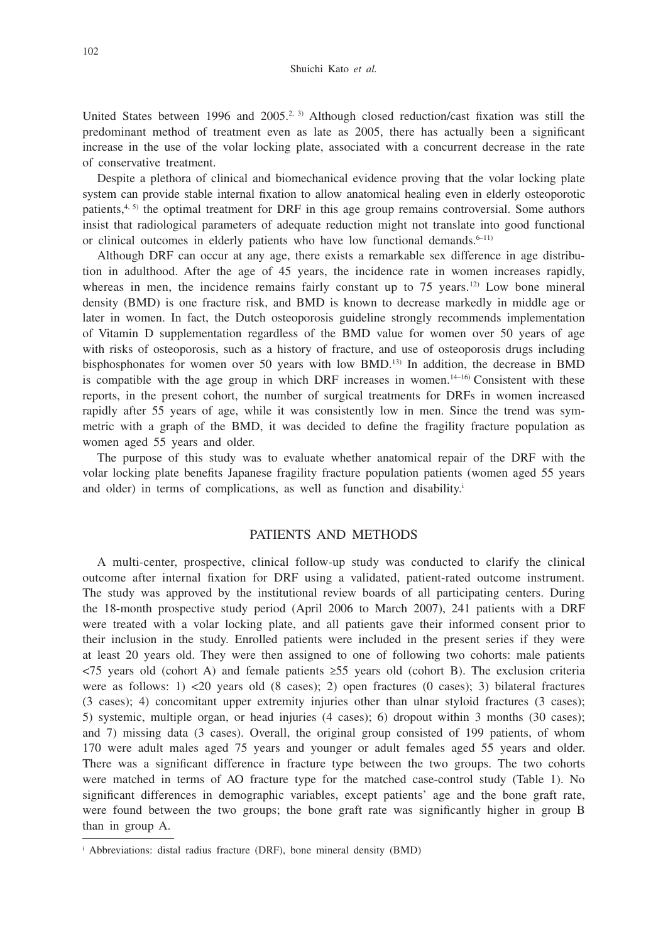United States between 1996 and 2005.<sup>2, 3)</sup> Although closed reduction/cast fixation was still the predominant method of treatment even as late as 2005, there has actually been a significant increase in the use of the volar locking plate, associated with a concurrent decrease in the rate of conservative treatment.

Despite a plethora of clinical and biomechanical evidence proving that the volar locking plate system can provide stable internal fixation to allow anatomical healing even in elderly osteoporotic patients, $4, 5$  the optimal treatment for DRF in this age group remains controversial. Some authors insist that radiological parameters of adequate reduction might not translate into good functional or clinical outcomes in elderly patients who have low functional demands.<sup>6-11)</sup>

Although DRF can occur at any age, there exists a remarkable sex difference in age distribution in adulthood. After the age of 45 years, the incidence rate in women increases rapidly, whereas in men, the incidence remains fairly constant up to  $75$  years.<sup>12)</sup> Low bone mineral density (BMD) is one fracture risk, and BMD is known to decrease markedly in middle age or later in women. In fact, the Dutch osteoporosis guideline strongly recommends implementation of Vitamin D supplementation regardless of the BMD value for women over 50 years of age with risks of osteoporosis, such as a history of fracture, and use of osteoporosis drugs including bisphosphonates for women over 50 years with low BMD.<sup>13)</sup> In addition, the decrease in BMD is compatible with the age group in which DRF increases in women.14–16) Consistent with these reports, in the present cohort, the number of surgical treatments for DRFs in women increased rapidly after 55 years of age, while it was consistently low in men. Since the trend was symmetric with a graph of the BMD, it was decided to define the fragility fracture population as women aged 55 years and older.

The purpose of this study was to evaluate whether anatomical repair of the DRF with the volar locking plate benefits Japanese fragility fracture population patients (women aged 55 years and older) in terms of complications, as well as function and disability.i

# PATIENTS AND METHODS

A multi-center, prospective, clinical follow-up study was conducted to clarify the clinical outcome after internal fixation for DRF using a validated, patient-rated outcome instrument. The study was approved by the institutional review boards of all participating centers. During the 18-month prospective study period (April 2006 to March 2007), 241 patients with a DRF were treated with a volar locking plate, and all patients gave their informed consent prior to their inclusion in the study. Enrolled patients were included in the present series if they were at least 20 years old. They were then assigned to one of following two cohorts: male patients <75 years old (cohort A) and female patients ≥55 years old (cohort B). The exclusion criteria were as follows:  $1$ ) <20 years old (8 cases); 2) open fractures (0 cases); 3) bilateral fractures (3 cases); 4) concomitant upper extremity injuries other than ulnar styloid fractures (3 cases); 5) systemic, multiple organ, or head injuries (4 cases); 6) dropout within 3 months (30 cases); and 7) missing data (3 cases). Overall, the original group consisted of 199 patients, of whom 170 were adult males aged 75 years and younger or adult females aged 55 years and older. There was a significant difference in fracture type between the two groups. The two cohorts were matched in terms of AO fracture type for the matched case-control study (Table 1). No significant differences in demographic variables, except patients' age and the bone graft rate, were found between the two groups; the bone graft rate was significantly higher in group B than in group A.

<sup>i</sup> Abbreviations: distal radius fracture (DRF), bone mineral density (BMD)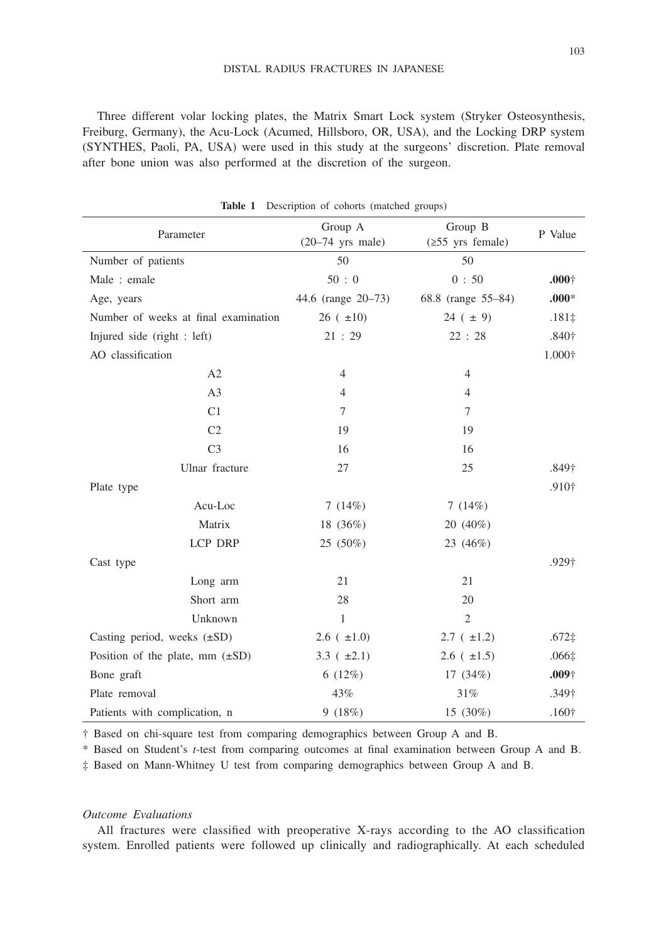Three different volar locking plates, the Matrix Smart Lock system (Stryker Osteosynthesis, Freiburg, Germany), the Acu-Lock (Acumed, Hillsboro, OR, USA), and the Locking DRP system (SYNTHES, Paoli, PA, USA) were used in this study at the surgeons' discretion. Plate removal after bone union was also performed at the discretion of the surgeon.

| Parameter                            | Group A<br>$(20-74$ yrs male) | Group B<br>$(\geq 55$ yrs female) | P Value           |
|--------------------------------------|-------------------------------|-----------------------------------|-------------------|
| Number of patients                   | 50                            | 50                                |                   |
| Male: emale                          | 50:0                          | 0:50                              | .000 <sup>†</sup> |
| Age, years                           | 44.6 (range 20–73)            | 68.8 (range 55–84)                | $.000*$           |
| Number of weeks at final examination | $26 (+10)$                    | $24 (+ 9)$                        | $.181\pm$         |
| Injured side (right : left)          | 21:29                         | 22:28                             | .840 <sup>†</sup> |
| AO classification                    |                               |                                   | $1.000\dagger$    |
| A2                                   | $\overline{4}$                | $\overline{4}$                    |                   |
| A <sub>3</sub>                       | $\overline{4}$                | $\overline{4}$                    |                   |
| C1                                   | 7                             | $\tau$                            |                   |
| C <sub>2</sub>                       | 19                            | 19                                |                   |
| C <sub>3</sub>                       | 16                            | 16                                |                   |
| Ulnar fracture                       | 27                            | 25                                | .849 <sup>†</sup> |
| Plate type                           |                               |                                   | .910†             |
| Acu-Loc                              | 7 $(14%)$                     | 7 $(14%)$                         |                   |
| Matrix                               | 18 (36%)                      | 20 (40%)                          |                   |
| LCP DRP                              | 25 (50%)                      | 23 (46%)                          |                   |
| Cast type                            |                               |                                   | .929†             |
| Long arm                             | 21                            | 21                                |                   |
| Short arm                            | 28                            | 20                                |                   |
| Unknown                              | $\mathbf{1}$                  | $\overline{2}$                    |                   |
| Casting period, weeks $(\pm SD)$     | $2.6(+1.0)$                   | $2.7 (+1.2)$                      | $.672\ddagger$    |
| Position of the plate, mm $(\pm SD)$ | 3.3 $(\pm 2.1)$               | $2.6(+1.5)$                       | $.066\ddagger$    |
| Bone graft                           | 6(12%)                        | 17 $(34%)$                        | $.009+$           |
| Plate removal                        | 43%                           | 31%                               | .349†             |
| Patients with complication, n        | 9(18%)                        | 15 (30%)                          | .160 <sup>†</sup> |

**Table 1** Description of cohorts (matched groups)

† Based on chi-square test from comparing demographics between Group A and B.

\* Based on Student's *t*-test from comparing outcomes at final examination between Group A and B.

‡ Based on Mann-Whitney U test from comparing demographics between Group A and B.

### *Outcome Evaluations*

All fractures were classified with preoperative X-rays according to the AO classification system. Enrolled patients were followed up clinically and radiographically. At each scheduled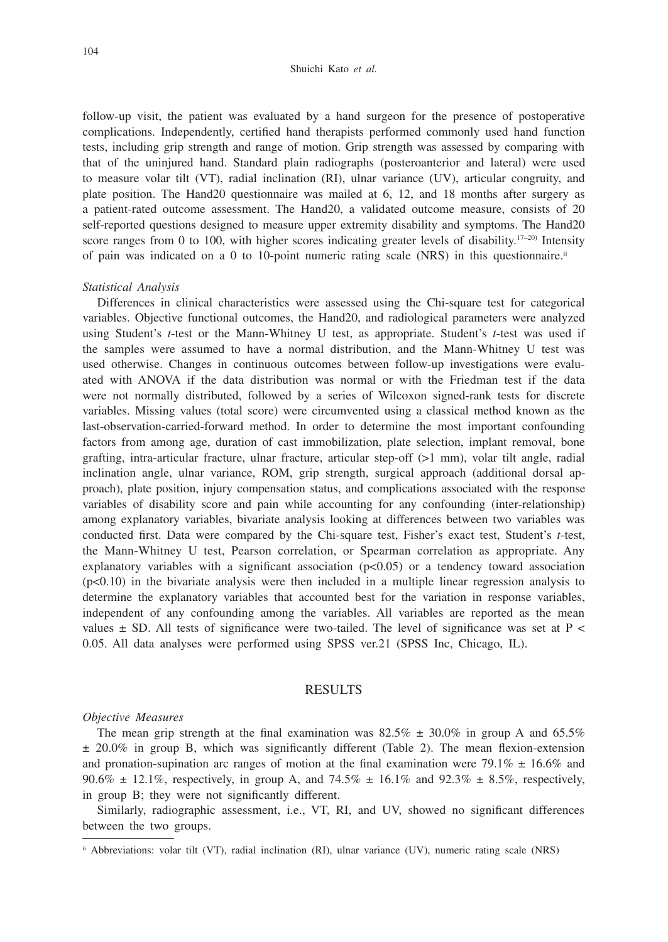#### Shuichi Kato *et al.*

follow-up visit, the patient was evaluated by a hand surgeon for the presence of postoperative complications. Independently, certified hand therapists performed commonly used hand function tests, including grip strength and range of motion. Grip strength was assessed by comparing with that of the uninjured hand. Standard plain radiographs (posteroanterior and lateral) were used to measure volar tilt (VT), radial inclination (RI), ulnar variance (UV), articular congruity, and plate position. The Hand20 questionnaire was mailed at 6, 12, and 18 months after surgery as a patient-rated outcome assessment. The Hand20, a validated outcome measure, consists of 20 self-reported questions designed to measure upper extremity disability and symptoms. The Hand20 score ranges from 0 to 100, with higher scores indicating greater levels of disability.<sup>17–20)</sup> Intensity of pain was indicated on a 0 to 10-point numeric rating scale (NRS) in this questionnaire.<sup>ii</sup>

## *Statistical Analysis*

Differences in clinical characteristics were assessed using the Chi-square test for categorical variables. Objective functional outcomes, the Hand20, and radiological parameters were analyzed using Student's *t*-test or the Mann-Whitney U test, as appropriate. Student's *t*-test was used if the samples were assumed to have a normal distribution, and the Mann-Whitney U test was used otherwise. Changes in continuous outcomes between follow-up investigations were evaluated with ANOVA if the data distribution was normal or with the Friedman test if the data were not normally distributed, followed by a series of Wilcoxon signed-rank tests for discrete variables. Missing values (total score) were circumvented using a classical method known as the last-observation-carried-forward method. In order to determine the most important confounding factors from among age, duration of cast immobilization, plate selection, implant removal, bone grafting, intra-articular fracture, ulnar fracture, articular step-off (>1 mm), volar tilt angle, radial inclination angle, ulnar variance, ROM, grip strength, surgical approach (additional dorsal approach), plate position, injury compensation status, and complications associated with the response variables of disability score and pain while accounting for any confounding (inter-relationship) among explanatory variables, bivariate analysis looking at differences between two variables was conducted first. Data were compared by the Chi-square test, Fisher's exact test, Student's *t*-test, the Mann-Whitney U test, Pearson correlation, or Spearman correlation as appropriate. Any explanatory variables with a significant association  $(p<0.05)$  or a tendency toward association (p<0.10) in the bivariate analysis were then included in a multiple linear regression analysis to determine the explanatory variables that accounted best for the variation in response variables, independent of any confounding among the variables. All variables are reported as the mean values  $\pm$  SD. All tests of significance were two-tailed. The level of significance was set at P < 0.05. All data analyses were performed using SPSS ver.21 (SPSS Inc, Chicago, IL).

# RESULTS

#### *Objective Measures*

The mean grip strength at the final examination was  $82.5\% \pm 30.0\%$  in group A and 65.5% ± 20.0% in group B, which was significantly different (Table 2). The mean flexion-extension and pronation-supination arc ranges of motion at the final examination were 79.1%  $\pm$  16.6% and 90.6%  $\pm$  12.1%, respectively, in group A, and 74.5%  $\pm$  16.1% and 92.3%  $\pm$  8.5%, respectively, in group B; they were not significantly different.

Similarly, radiographic assessment, i.e., VT, RI, and UV, showed no significant differences between the two groups.

ii Abbreviations: volar tilt (VT), radial inclination (RI), ulnar variance (UV), numeric rating scale (NRS)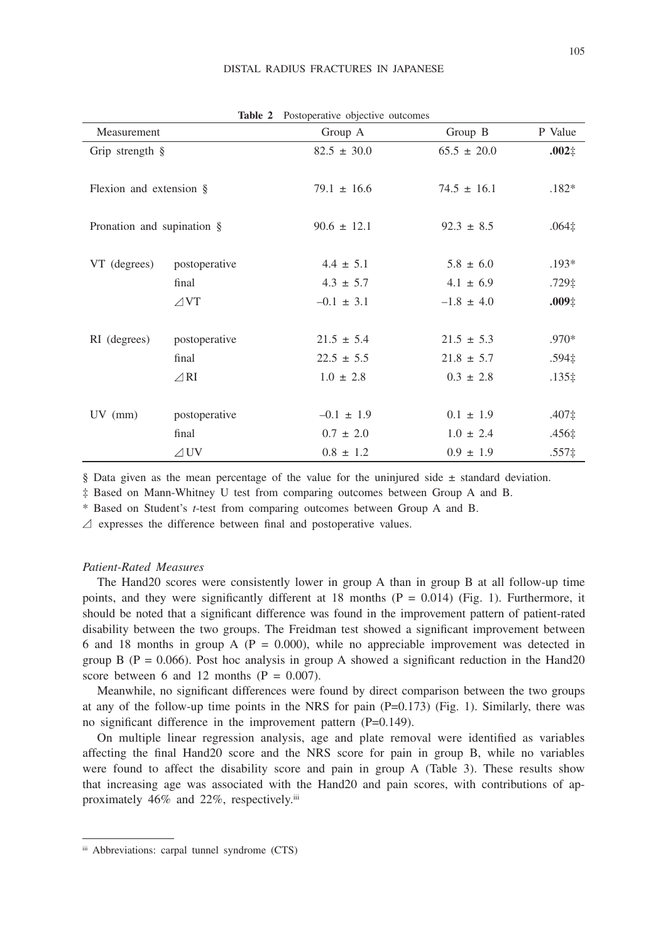|                            | Table 2        | Postoperative objective outcomes |                      |                   |
|----------------------------|----------------|----------------------------------|----------------------|-------------------|
| Measurement                |                | Group A                          | Group $\overline{B}$ | P Value           |
| Grip strength §            |                | $82.5 \pm 30.0$                  | $65.5 \pm 20.0$      | $.002\pm$         |
|                            |                |                                  |                      |                   |
| Flexion and extension §    |                | $79.1 \pm 16.6$                  | $74.5 \pm 16.1$      | $.182*$           |
|                            |                |                                  |                      |                   |
| Pronation and supination § |                | $90.6 \pm 12.1$                  | $92.3 \pm 8.5$       | $.064 \ddagger$   |
|                            |                |                                  |                      |                   |
| VT (degrees)               | postoperative  | $4.4 \pm 5.1$                    | $5.8 \pm 6.0$        | $.193*$           |
|                            | final          | $4.3 \pm 5.7$                    | $4.1 \pm 6.9$        | .729‡             |
|                            | $\angle V$ T   | $-0.1 \pm 3.1$                   | $-1.8 \pm 4.0$       | .009 <sub>‡</sub> |
|                            |                |                                  |                      |                   |
| RI (degrees)               | postoperative  | $21.5 \pm 5.4$                   | $21.5 \pm 5.3$       | $.970*$           |
|                            | final          | $22.5 \pm 5.5$                   | $21.8 \pm 5.7$       | .594‡             |
|                            | $\angle$ RI    | $1.0 \pm 2.8$                    | $0.3 \pm 2.8$        | $.135\ddagger$    |
|                            |                |                                  |                      |                   |
| $UV$ (mm)                  | postoperative  | $-0.1 \pm 1.9$                   | $0.1 \pm 1.9$        | .407‡             |
|                            | final          | $0.7 \pm 2.0$                    | $1.0 \pm 2.4$        | .456‡             |
|                            | $\triangle$ UV | $0.8 \pm 1.2$                    | $0.9 \pm 1.9$        | .557 <sub>‡</sub> |
|                            |                |                                  |                      |                   |

**Table 2** Postoperative objective outcomes

§ Data given as the mean percentage of the value for the uninjured side  $\pm$  standard deviation.

‡ Based on Mann-Whitney U test from comparing outcomes between Group A and B.

\* Based on Student's *t*-test from comparing outcomes between Group A and B.

 $\triangle$  expresses the difference between final and postoperative values.

## *Patient-Rated Measures*

The Hand20 scores were consistently lower in group A than in group B at all follow-up time points, and they were significantly different at 18 months  $(P = 0.014)$  (Fig. 1). Furthermore, it should be noted that a significant difference was found in the improvement pattern of patient-rated disability between the two groups. The Freidman test showed a significant improvement between 6 and 18 months in group A ( $P = 0.000$ ), while no appreciable improvement was detected in group B ( $P = 0.066$ ). Post hoc analysis in group A showed a significant reduction in the Hand20 score between 6 and 12 months  $(P = 0.007)$ .

Meanwhile, no significant differences were found by direct comparison between the two groups at any of the follow-up time points in the NRS for pain  $(P=0.173)$  (Fig. 1). Similarly, there was no significant difference in the improvement pattern (P=0.149).

On multiple linear regression analysis, age and plate removal were identified as variables affecting the final Hand20 score and the NRS score for pain in group B, while no variables were found to affect the disability score and pain in group A (Table 3). These results show that increasing age was associated with the Hand20 and pain scores, with contributions of approximately 46% and 22%, respectively.<sup>iii</sup>

iii Abbreviations: carpal tunnel syndrome (CTS)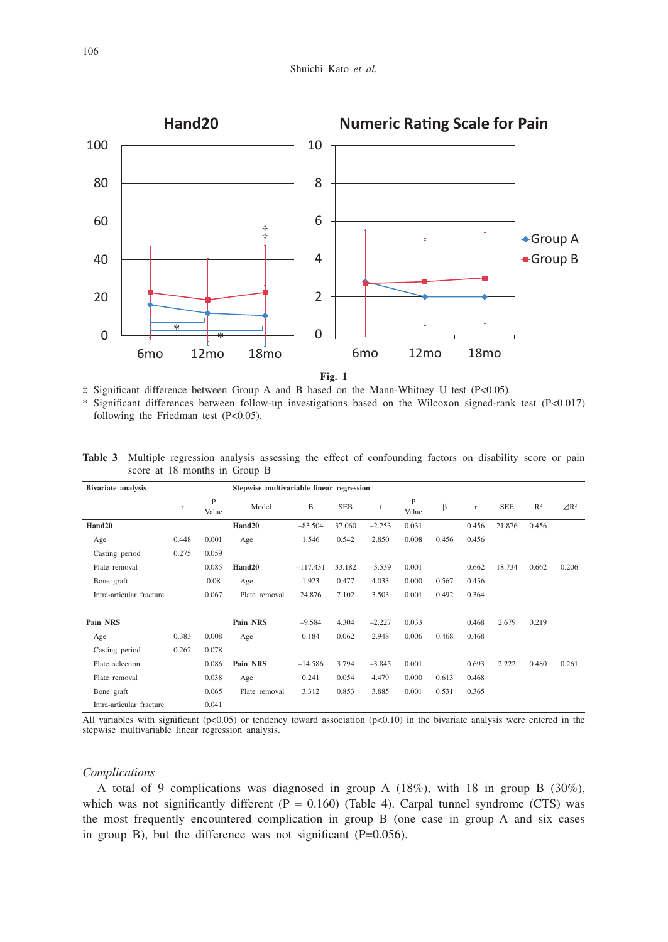

**Fig. 1**

‡ Significant difference between Group A and B based on the Mann-Whitney U test (P<0.05).

Significant differences between follow-up investigations based on the Wilcoxon signed-rank test (P<0.017) following the Friedman test  $(P<0.05)$ .

| Bivariate analysis       |              |            | Stepwise multivariable linear regression |            |            |              |            |       |              |            |                |                 |
|--------------------------|--------------|------------|------------------------------------------|------------|------------|--------------|------------|-------|--------------|------------|----------------|-----------------|
|                          | $\mathbf{r}$ | P<br>Value | Model                                    | B          | <b>SEB</b> | $\mathbf{f}$ | P<br>Value | β     | $\mathbf{r}$ | <b>SEE</b> | $\mathbb{R}^2$ | $\triangle R^2$ |
| Hand20                   |              |            | Hand20                                   | $-83.504$  | 37.060     | $-2.253$     | 0.031      |       | 0.456        | 21.876     | 0.456          |                 |
| Age                      | 0.448        | 0.001      | Age                                      | 1.546      | 0.542      | 2.850        | 0.008      | 0.456 | 0.456        |            |                |                 |
| Casting period           | 0.275        | 0.059      |                                          |            |            |              |            |       |              |            |                |                 |
| Plate removal            |              | 0.085      | Hand20                                   | $-117.431$ | 33.182     | $-3.539$     | 0.001      |       | 0.662        | 18.734     | 0.662          | 0.206           |
| Bone graft               |              | 0.08       | Age                                      | 1.923      | 0.477      | 4.033        | 0.000      | 0.567 | 0.456        |            |                |                 |
| Intra-articular fracture |              | 0.067      | Plate removal                            | 24.876     | 7.102      | 3.503        | 0.001      | 0.492 | 0.364        |            |                |                 |
| Pain NRS                 |              |            | Pain NRS                                 | $-9.584$   | 4.304      | $-2.227$     | 0.033      |       | 0.468        | 2.679      | 0.219          |                 |
| Age                      | 0.383        | 0.008      | Age                                      | 0.184      | 0.062      | 2.948        | 0.006      | 0.468 | 0.468        |            |                |                 |
| Casting period           | 0.262        | 0.078      |                                          |            |            |              |            |       |              |            |                |                 |
| Plate selection          |              | 0.086      | Pain NRS                                 | $-14.586$  | 3.794      | $-3.845$     | 0.001      |       | 0.693        | 2.222      | 0.480          | 0.261           |
| Plate removal            |              | 0.038      | Age                                      | 0.241      | 0.054      | 4.479        | 0.000      | 0.613 | 0.468        |            |                |                 |
| Bone graft               |              | 0.065      | Plate removal                            | 3.312      | 0.853      | 3.885        | 0.001      | 0.531 | 0.365        |            |                |                 |
| Intra-articular fracture |              | 0.041      |                                          |            |            |              |            |       |              |            |                |                 |

**Table 3** Multiple regression analysis assessing the effect of confounding factors on disability score or pain score at 18 months in Group B

All variables with significant ( $p<0.05$ ) or tendency toward association ( $p<0.10$ ) in the bivariate analysis were entered in the stepwise multivariable linear regression analysis.

## *Complications*

A total of 9 complications was diagnosed in group A (18%), with 18 in group B (30%), which was not significantly different  $(P = 0.160)$  (Table 4). Carpal tunnel syndrome (CTS) was the most frequently encountered complication in group B (one case in group A and six cases in group B), but the difference was not significant  $(P=0.056)$ .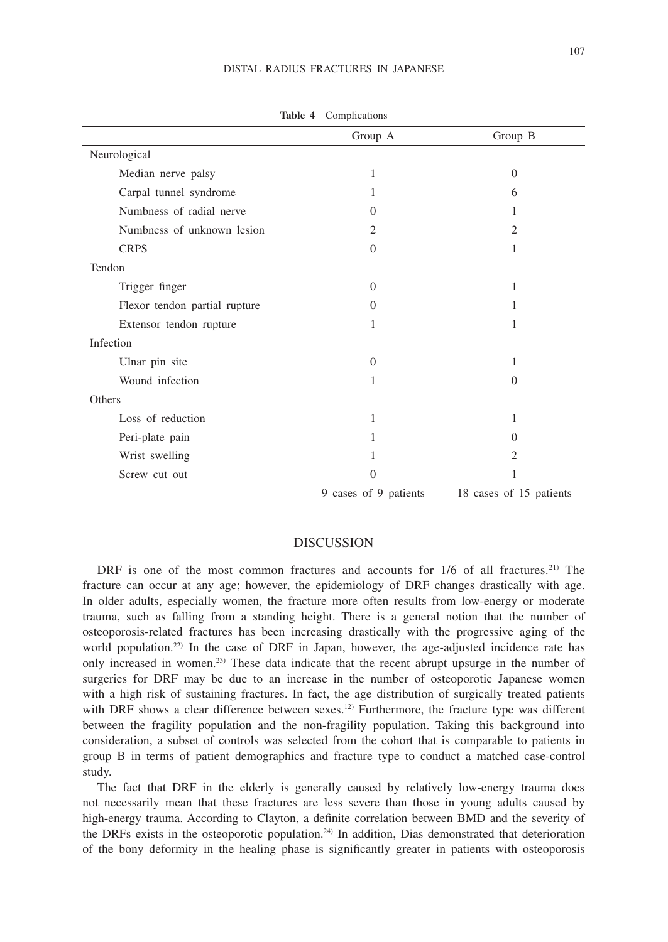#### DISTAL RADIUS FRACTURES IN JAPANESE

|                               | Group A               | Group B                 |
|-------------------------------|-----------------------|-------------------------|
| Neurological                  |                       |                         |
| Median nerve palsy            | 1                     | $\overline{0}$          |
| Carpal tunnel syndrome        | 1                     | 6                       |
| Numbness of radial nerve      | $\Omega$              |                         |
| Numbness of unknown lesion    | $\overline{2}$        | $\mathfrak{D}$          |
| <b>CRPS</b>                   | $\Omega$              | 1                       |
| Tendon                        |                       |                         |
| Trigger finger                | $\Omega$              | 1                       |
| Flexor tendon partial rupture | $\Omega$              | 1                       |
| Extensor tendon rupture       | 1                     | 1                       |
| Infection                     |                       |                         |
| Ulnar pin site                | $\Omega$              | 1                       |
| Wound infection               | 1                     | $\overline{0}$          |
| Others                        |                       |                         |
| Loss of reduction             | 1                     |                         |
| Peri-plate pain               | 1                     | 0                       |
| Wrist swelling                | 1                     | $\overline{2}$          |
| Screw cut out                 | $\Omega$              | 1                       |
|                               | 9 cases of 9 patients | 18 cases of 15 patients |

**Table 4** Complications

DISCUSSION

DRF is one of the most common fractures and accounts for 1/6 of all fractures.<sup>21)</sup> The fracture can occur at any age; however, the epidemiology of DRF changes drastically with age. In older adults, especially women, the fracture more often results from low-energy or moderate trauma, such as falling from a standing height. There is a general notion that the number of osteoporosis-related fractures has been increasing drastically with the progressive aging of the world population.<sup>22)</sup> In the case of DRF in Japan, however, the age-adjusted incidence rate has only increased in women.23) These data indicate that the recent abrupt upsurge in the number of surgeries for DRF may be due to an increase in the number of osteoporotic Japanese women with a high risk of sustaining fractures. In fact, the age distribution of surgically treated patients with DRF shows a clear difference between sexes.<sup>12)</sup> Furthermore, the fracture type was different between the fragility population and the non-fragility population. Taking this background into consideration, a subset of controls was selected from the cohort that is comparable to patients in group B in terms of patient demographics and fracture type to conduct a matched case-control study.

The fact that DRF in the elderly is generally caused by relatively low-energy trauma does not necessarily mean that these fractures are less severe than those in young adults caused by high-energy trauma. According to Clayton, a definite correlation between BMD and the severity of the DRFs exists in the osteoporotic population.<sup>24)</sup> In addition, Dias demonstrated that deterioration of the bony deformity in the healing phase is significantly greater in patients with osteoporosis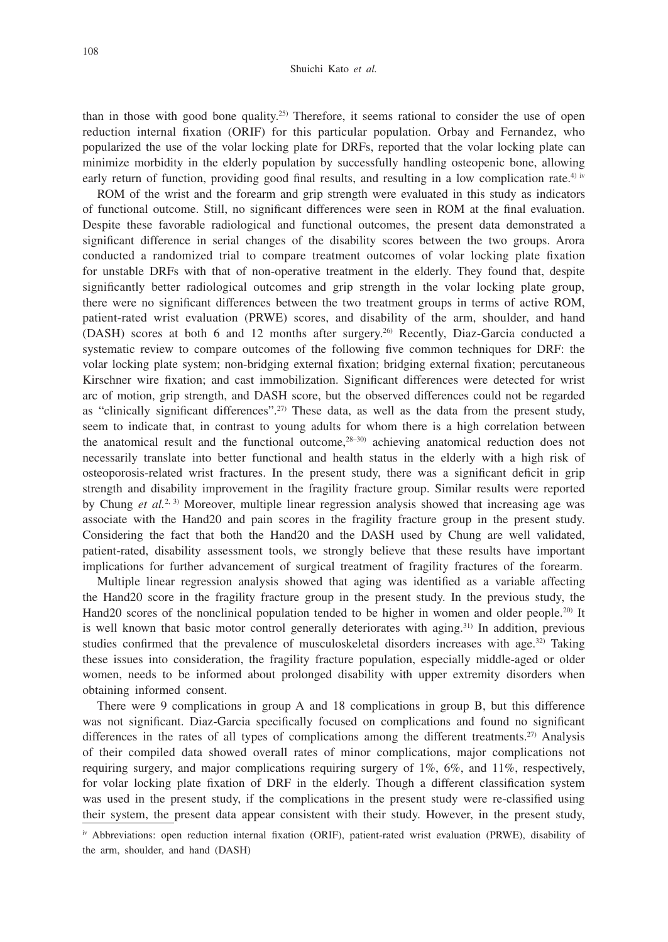#### Shuichi Kato *et al.*

than in those with good bone quality.<sup>25)</sup> Therefore, it seems rational to consider the use of open reduction internal fixation (ORIF) for this particular population. Orbay and Fernandez, who popularized the use of the volar locking plate for DRFs, reported that the volar locking plate can minimize morbidity in the elderly population by successfully handling osteopenic bone, allowing early return of function, providing good final results, and resulting in a low complication rate.<sup>4) iv</sup>

ROM of the wrist and the forearm and grip strength were evaluated in this study as indicators of functional outcome. Still, no significant differences were seen in ROM at the final evaluation. Despite these favorable radiological and functional outcomes, the present data demonstrated a significant difference in serial changes of the disability scores between the two groups. Arora conducted a randomized trial to compare treatment outcomes of volar locking plate fixation for unstable DRFs with that of non-operative treatment in the elderly. They found that, despite significantly better radiological outcomes and grip strength in the volar locking plate group, there were no significant differences between the two treatment groups in terms of active ROM, patient-rated wrist evaluation (PRWE) scores, and disability of the arm, shoulder, and hand (DASH) scores at both 6 and 12 months after surgery.26) Recently, Diaz-Garcia conducted a systematic review to compare outcomes of the following five common techniques for DRF: the volar locking plate system; non-bridging external fixation; bridging external fixation; percutaneous Kirschner wire fixation; and cast immobilization. Significant differences were detected for wrist arc of motion, grip strength, and DASH score, but the observed differences could not be regarded as "clinically significant differences".27) These data, as well as the data from the present study, seem to indicate that, in contrast to young adults for whom there is a high correlation between the anatomical result and the functional outcome,28–30) achieving anatomical reduction does not necessarily translate into better functional and health status in the elderly with a high risk of osteoporosis-related wrist fractures. In the present study, there was a significant deficit in grip strength and disability improvement in the fragility fracture group. Similar results were reported by Chung *et al.*<sup>2, 3)</sup> Moreover, multiple linear regression analysis showed that increasing age was associate with the Hand20 and pain scores in the fragility fracture group in the present study. Considering the fact that both the Hand20 and the DASH used by Chung are well validated, patient-rated, disability assessment tools, we strongly believe that these results have important implications for further advancement of surgical treatment of fragility fractures of the forearm.

Multiple linear regression analysis showed that aging was identified as a variable affecting the Hand20 score in the fragility fracture group in the present study. In the previous study, the Hand20 scores of the nonclinical population tended to be higher in women and older people.<sup>20)</sup> It is well known that basic motor control generally deteriorates with aging.<sup>31)</sup> In addition, previous studies confirmed that the prevalence of musculoskeletal disorders increases with age.<sup>32)</sup> Taking these issues into consideration, the fragility fracture population, especially middle-aged or older women, needs to be informed about prolonged disability with upper extremity disorders when obtaining informed consent.

There were 9 complications in group A and 18 complications in group B, but this difference was not significant. Diaz-Garcia specifically focused on complications and found no significant differences in the rates of all types of complications among the different treatments.<sup>27)</sup> Analysis of their compiled data showed overall rates of minor complications, major complications not requiring surgery, and major complications requiring surgery of  $1\%$ ,  $6\%$ , and  $11\%$ , respectively, for volar locking plate fixation of DRF in the elderly. Though a different classification system was used in the present study, if the complications in the present study were re-classified using their system, the present data appear consistent with their study. However, in the present study,

iv Abbreviations: open reduction internal fixation (ORIF), patient-rated wrist evaluation (PRWE), disability of the arm, shoulder, and hand (DASH)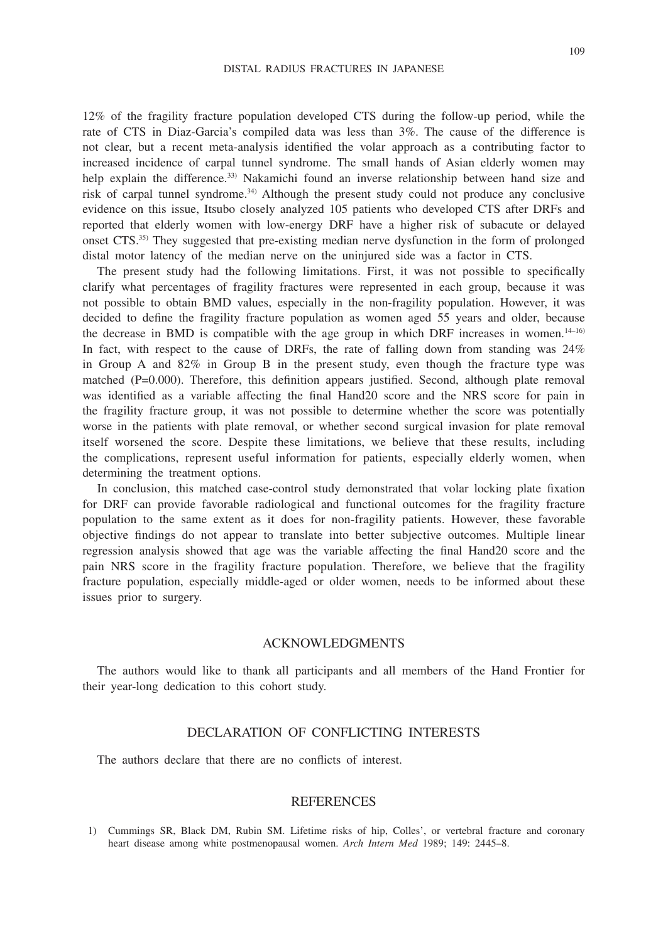12% of the fragility fracture population developed CTS during the follow-up period, while the rate of CTS in Diaz-Garcia's compiled data was less than 3%. The cause of the difference is not clear, but a recent meta-analysis identified the volar approach as a contributing factor to increased incidence of carpal tunnel syndrome. The small hands of Asian elderly women may help explain the difference.<sup>33)</sup> Nakamichi found an inverse relationship between hand size and risk of carpal tunnel syndrome.34) Although the present study could not produce any conclusive evidence on this issue, Itsubo closely analyzed 105 patients who developed CTS after DRFs and reported that elderly women with low-energy DRF have a higher risk of subacute or delayed onset CTS.35) They suggested that pre-existing median nerve dysfunction in the form of prolonged distal motor latency of the median nerve on the uninjured side was a factor in CTS.

The present study had the following limitations. First, it was not possible to specifically clarify what percentages of fragility fractures were represented in each group, because it was not possible to obtain BMD values, especially in the non-fragility population. However, it was decided to define the fragility fracture population as women aged 55 years and older, because the decrease in BMD is compatible with the age group in which DRF increases in women. $14-16$ In fact, with respect to the cause of DRFs, the rate of falling down from standing was 24% in Group A and 82% in Group B in the present study, even though the fracture type was matched (P=0.000). Therefore, this definition appears justified. Second, although plate removal was identified as a variable affecting the final Hand20 score and the NRS score for pain in the fragility fracture group, it was not possible to determine whether the score was potentially worse in the patients with plate removal, or whether second surgical invasion for plate removal itself worsened the score. Despite these limitations, we believe that these results, including the complications, represent useful information for patients, especially elderly women, when determining the treatment options.

In conclusion, this matched case-control study demonstrated that volar locking plate fixation for DRF can provide favorable radiological and functional outcomes for the fragility fracture population to the same extent as it does for non-fragility patients. However, these favorable objective findings do not appear to translate into better subjective outcomes. Multiple linear regression analysis showed that age was the variable affecting the final Hand20 score and the pain NRS score in the fragility fracture population. Therefore, we believe that the fragility fracture population, especially middle-aged or older women, needs to be informed about these issues prior to surgery.

## ACKNOWLEDGMENTS

The authors would like to thank all participants and all members of the Hand Frontier for their year-long dedication to this cohort study.

## DECLARATION OF CONFLICTING INTERESTS

The authors declare that there are no conflicts of interest.

## REFERENCES

1) Cummings SR, Black DM, Rubin SM. Lifetime risks of hip, Colles', or vertebral fracture and coronary heart disease among white postmenopausal women. *Arch Intern Med* 1989; 149: 2445–8.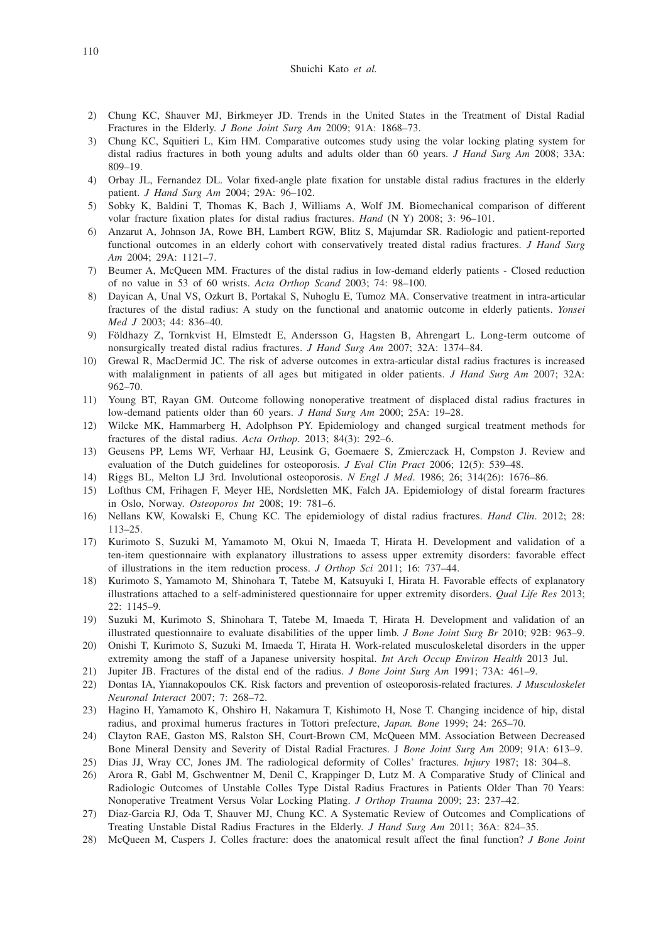#### Shuichi Kato *et al.*

- 2) Chung KC, Shauver MJ, Birkmeyer JD. Trends in the United States in the Treatment of Distal Radial Fractures in the Elderly. *J Bone Joint Surg Am* 2009; 91A: 1868–73.
- 3) Chung KC, Squitieri L, Kim HM. Comparative outcomes study using the volar locking plating system for distal radius fractures in both young adults and adults older than 60 years. *J Hand Surg Am* 2008; 33A: 809–19.
- 4) Orbay JL, Fernandez DL. Volar fixed-angle plate fixation for unstable distal radius fractures in the elderly patient. *J Hand Surg Am* 2004; 29A: 96–102.
- 5) Sobky K, Baldini T, Thomas K, Bach J, Williams A, Wolf JM. Biomechanical comparison of different volar fracture fixation plates for distal radius fractures. *Hand* (N Y) 2008; 3: 96–101.
- 6) Anzarut A, Johnson JA, Rowe BH, Lambert RGW, Blitz S, Majumdar SR. Radiologic and patient-reported functional outcomes in an elderly cohort with conservatively treated distal radius fractures. *J Hand Surg Am* 2004; 29A: 1121–7.
- 7) Beumer A, McQueen MM. Fractures of the distal radius in low-demand elderly patients Closed reduction of no value in 53 of 60 wrists. *Acta Orthop Scand* 2003; 74: 98–100.
- 8) Dayican A, Unal VS, Ozkurt B, Portakal S, Nuhoglu E, Tumoz MA. Conservative treatment in intra-articular fractures of the distal radius: A study on the functional and anatomic outcome in elderly patients. *Yonsei Med J* 2003; 44: 836–40.
- 9) Földhazy Z, Tornkvist H, Elmstedt E, Andersson G, Hagsten B, Ahrengart L. Long-term outcome of nonsurgically treated distal radius fractures. *J Hand Surg Am* 2007; 32A: 1374–84.
- 10) Grewal R, MacDermid JC. The risk of adverse outcomes in extra-articular distal radius fractures is increased with malalignment in patients of all ages but mitigated in older patients. *J Hand Surg Am* 2007; 32A: 962–70.
- 11) Young BT, Rayan GM. Outcome following nonoperative treatment of displaced distal radius fractures in low-demand patients older than 60 years. *J Hand Surg Am* 2000; 25A: 19–28.
- 12) Wilcke MK, Hammarberg H, Adolphson PY. Epidemiology and changed surgical treatment methods for fractures of the distal radius. *Acta Orthop*. 2013; 84(3): 292–6.
- 13) Geusens PP, Lems WF, Verhaar HJ, Leusink G, Goemaere S, Zmierczack H, Compston J. Review and evaluation of the Dutch guidelines for osteoporosis. *J Eval Clin Pract* 2006; 12(5): 539–48.
- 14) Riggs BL, Melton LJ 3rd. Involutional osteoporosis. *N Engl J Med*. 1986; 26; 314(26): 1676–86.
- 15) Lofthus CM, Frihagen F, Meyer HE, Nordsletten MK, Falch JA. Epidemiology of distal forearm fractures in Oslo, Norway. *Osteoporos Int* 2008; 19: 781–6.
- 16) Nellans KW, Kowalski E, Chung KC. The epidemiology of distal radius fractures. *Hand Clin*. 2012; 28: 113–25.
- 17) Kurimoto S, Suzuki M, Yamamoto M, Okui N, Imaeda T, Hirata H. Development and validation of a ten-item questionnaire with explanatory illustrations to assess upper extremity disorders: favorable effect of illustrations in the item reduction process. *J Orthop Sci* 2011; 16: 737–44.
- 18) Kurimoto S, Yamamoto M, Shinohara T, Tatebe M, Katsuyuki I, Hirata H. Favorable effects of explanatory illustrations attached to a self-administered questionnaire for upper extremity disorders. *Qual Life Res* 2013; 22: 1145–9.
- 19) Suzuki M, Kurimoto S, Shinohara T, Tatebe M, Imaeda T, Hirata H. Development and validation of an illustrated questionnaire to evaluate disabilities of the upper limb. *J Bone Joint Surg Br* 2010; 92B: 963–9.
- 20) Onishi T, Kurimoto S, Suzuki M, Imaeda T, Hirata H. Work-related musculoskeletal disorders in the upper extremity among the staff of a Japanese university hospital. *Int Arch Occup Environ Health* 2013 Jul.
- 21) Jupiter JB. Fractures of the distal end of the radius. *J Bone Joint Surg Am* 1991; 73A: 461–9.
- 22) Dontas IA, Yiannakopoulos CK. Risk factors and prevention of osteoporosis-related fractures. *J Musculoskelet Neuronal Interact* 2007; 7: 268–72.
- 23) Hagino H, Yamamoto K, Ohshiro H, Nakamura T, Kishimoto H, Nose T. Changing incidence of hip, distal radius, and proximal humerus fractures in Tottori prefecture, *Japan. Bone* 1999; 24: 265–70.
- 24) Clayton RAE, Gaston MS, Ralston SH, Court-Brown CM, McQueen MM. Association Between Decreased Bone Mineral Density and Severity of Distal Radial Fractures. J *Bone Joint Surg Am* 2009; 91A: 613–9.
- 25) Dias JJ, Wray CC, Jones JM. The radiological deformity of Colles' fractures. *Injury* 1987; 18: 304–8.
- 26) Arora R, Gabl M, Gschwentner M, Denil C, Krappinger D, Lutz M. A Comparative Study of Clinical and Radiologic Outcomes of Unstable Colles Type Distal Radius Fractures in Patients Older Than 70 Years: Nonoperative Treatment Versus Volar Locking Plating. *J Orthop Trauma* 2009; 23: 237–42.
- 27) Diaz-Garcia RJ, Oda T, Shauver MJ, Chung KC. A Systematic Review of Outcomes and Complications of Treating Unstable Distal Radius Fractures in the Elderly. *J Hand Surg Am* 2011; 36A: 824–35.
- 28) McQueen M, Caspers J. Colles fracture: does the anatomical result affect the final function? *J Bone Joint*